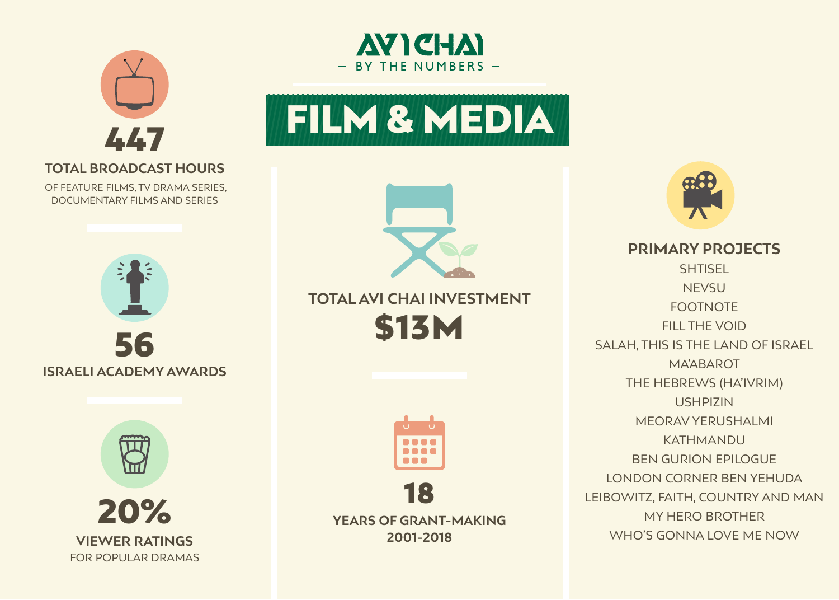



### **TOTAL BROADCAST HOURS**

OF FEATURE FILMS, TV DRAMA SERIES, DOCUMENTARY FILMS AND SERIES







# **ITOTAL AVI CHAI INVESTMENT S13M**





**2001-2018**



**PRIMARY PROJECTS SHTISEL NEVSU** FOOTNOTE FILL THE VOID SALAH, THIS IS THE LAND OF ISRAEL MA'ABAROT THE HEBREWS (HA'IVRIM) USHPIZIN MEORAV YERUSHALMI KATHMANDU BEN GURION EPILOGUE LONDON CORNER BEN YEHUDA LEIBOWITZ, FAITH, COUNTRY AND MAN MY HERO BROTHER WHO'S GONNA LOVE ME NOW



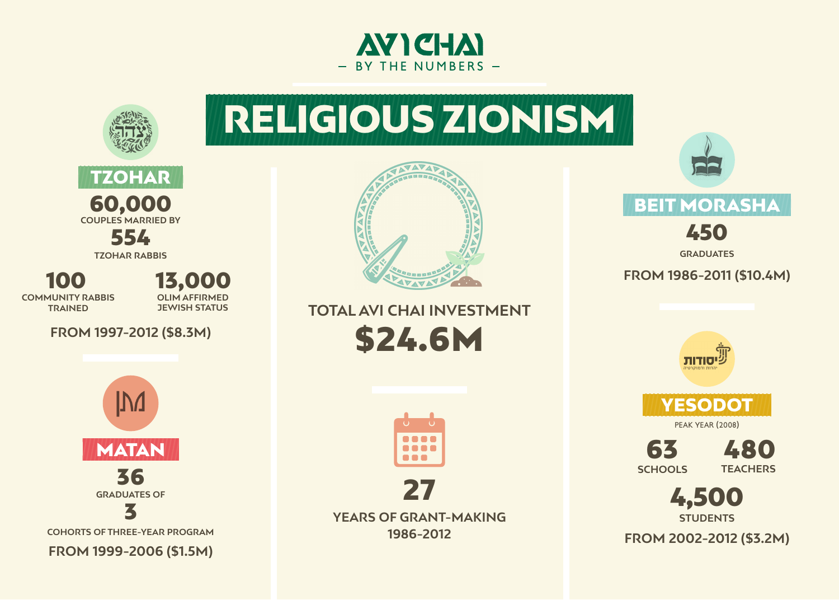



**YEARS OF GRANT-MAKING 1986-2012**



### **BEIT MORASHA**



S TRES OF STREET WARE OF GRANT-MAKING AND TRESPECTED A STREET STREET STREET STREET STREET STREET STREET STREET<br>THE STREET STREET STREET STREET STREET STREET STREET STREET STREET STREET STREET STREET STREET STREET STREET S **STUDENTS**



**SCHOOLS**

**GRADUATES**

#### **FROM 1986-2011 (\$10.4M)**



**COMMUNITY RABBIS TRAINED**

100 13,000 **OLIM AFFIRMED JEWISH STATUS** 

FROM 1997-2012 (\$8.3M)



**TZOHAR RABBIS** 



**COHORTS OF THREE-YEAR PROGRAM** 

**FROM 1999-2006 (\$1.5M)** 

# RELIGIOUS ZIONISM



## **ITOTAL AVI CHAI INVESTMENT \$24.6M**



**(M\$3.2 (2002-2012 FROM**

















**PEAK YEAR (2008)**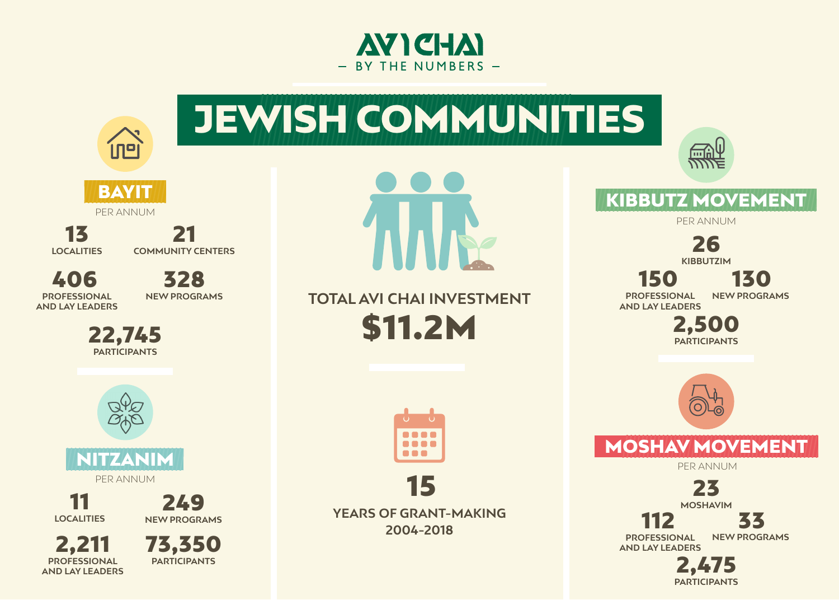



## KIBBUTZ MOVEMENT

PER ANNUM

<u>mhly</u>

112  **PROFESSIONAL AND LAY LEADERS** 

 **PROFESSIONAL AND LAY LEADERS** 

150

26 **KIBBUTZIM**

23 **MOSHAVIM**







2,500 **PARTICIPANTS**



## MOSHAV MOVEMENT

PER ANNUM

2,475 **PARTICIPANTS**

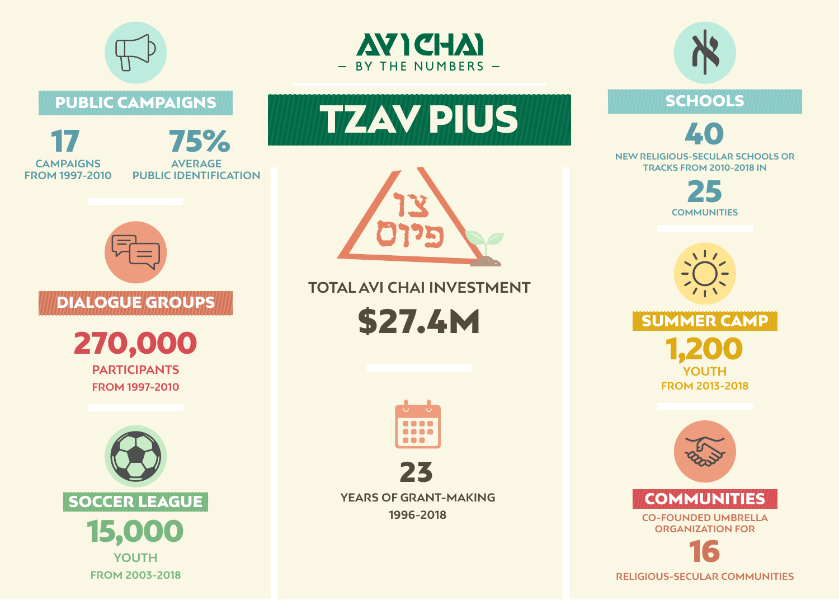



### PUBLIC CAMPAIGNS

**YEARS OF GRANT-MAKING 1996-2018**









**RELIGIOUS-SECULAR COMMUNITIES** 



















**CO-FOUNDED UMBRELLA** *ORGANIZATION FOR* **COMMUNITIES** 







### **ITOTAL AVI CHAI INVESTMENT**

**\$27.4M** 





#### **NEW RELIGIOUS-SECULAR SCHOOLS OR TRACKS FROM 2010-2018 IN**





SCHOOLS

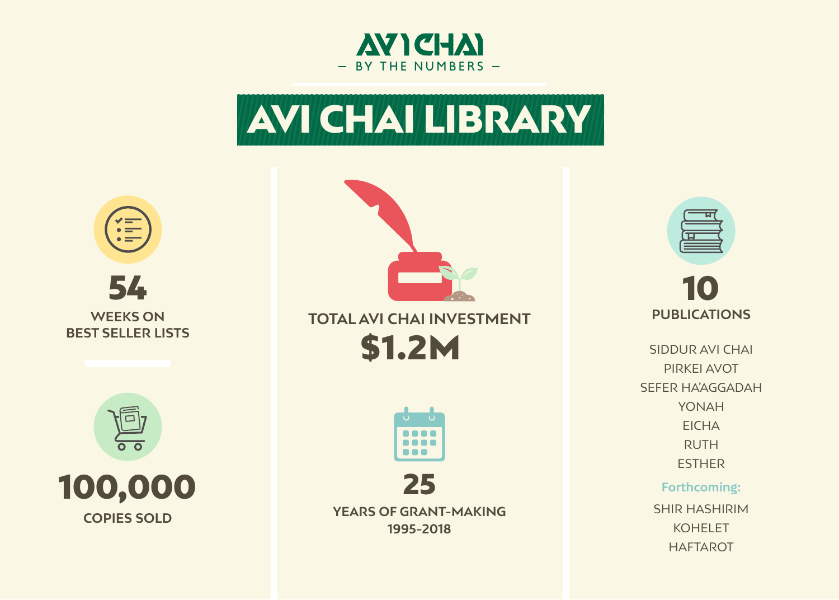





# 10

**SHIR HASHIRIM** KOHELET HAFTAROT

**PUBLICATIONS** SIDDUR AVI CHAI **PIRKEI AVOT** SEFER HA'AGGADAH YONAH **EICHA** RUTH ESTHER

**YEARS OF GRANT-MAKING 1995-2018**

#### **:Forthcoming**

# LAVICHAI LIBRARY



# **ITOTAL AVI CHAI INVESTMENT S1.2M**





**COPIES SOLD** 



#### **WEEKS ON BEST SELLER LISTS**



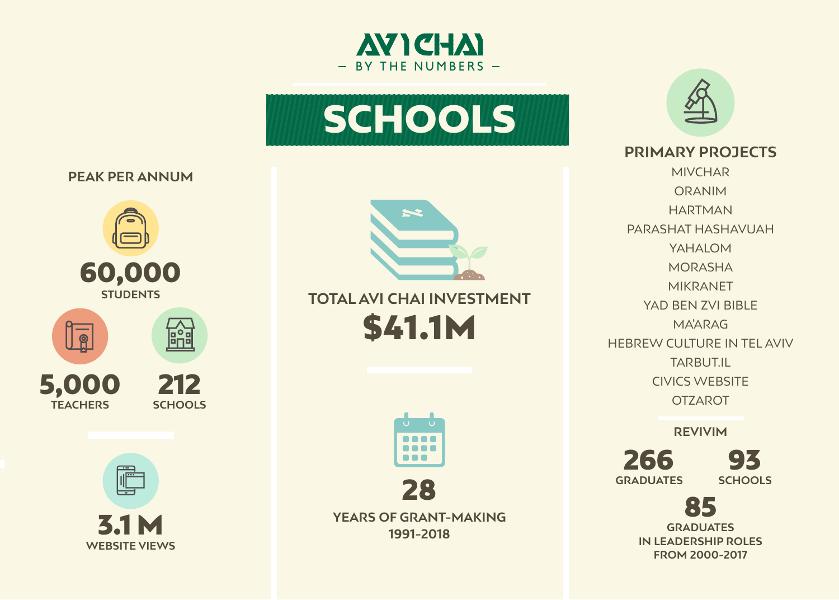



#### **PEAK PER ANNUM**

MIVCHAR ORANIM HARTMAN PARASHAT HASHAVUAH YAHALOM MORASHA MIKRANET YAD BEN ZVI BIBLE MA'ARAG HEBREW CULTURE IN TEL AVIV TARBUT.IL **CIVICS WEBSITE OTZAROT** 

**YEARS OF GRANT-MAKING 3.1 M**<br>THE STARS OF GRANT-MAKING<br>THE STARS OF GRANT-MAKING **1991-2018**

## **AVICHAI** - BY THE NUMBERS -

**IN LEADERSHIP ROLES GRADUATES 2000-2017 FROM**





93 266 **SCHOOLS GRADUATES**









### **PRIMARY PROJECTS**

**REVIVIM**

# SCHOOLS



# **ITOTAL AVI CHAI INVESTMENT \$41.1M**

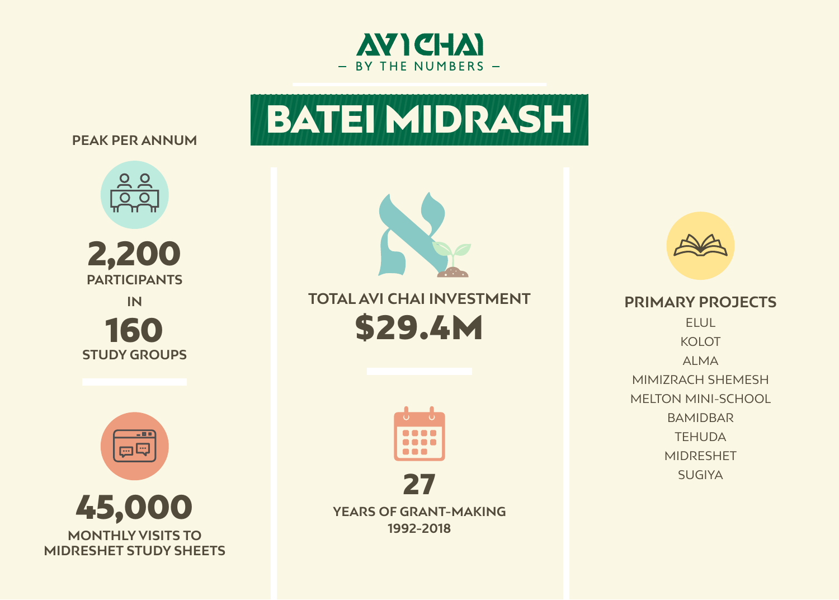



#### **PEAK PER ANNUM**







**YEARS OF GRANT-MAKING 1992-2018**



**PRIMARY PROJECTS** ELUL KOLOT ALMA MIMIZRACH SHEMESH MELTON MINI-SCHOOL BAMIDBAR **TEHUDA** MIDRESHET **SUGIYA** 



# BATEINIDRASH



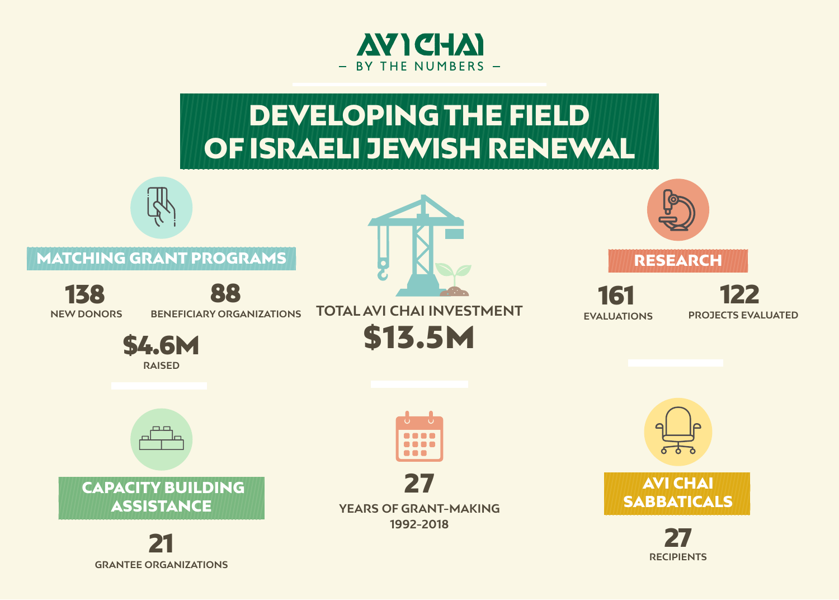

# DEVELOPING THE FIELD OF ISRAELI JEWISH RENEWAL

### **MATCHING GRANT PROGRAMS**









**BENEFICIARY ORGANIZATIONS** 





**YEARS OF GRANT-MAKING** 27 **1992-2018**













**ITOTAL AVI CHAI INVESTMENT S13.5M** 

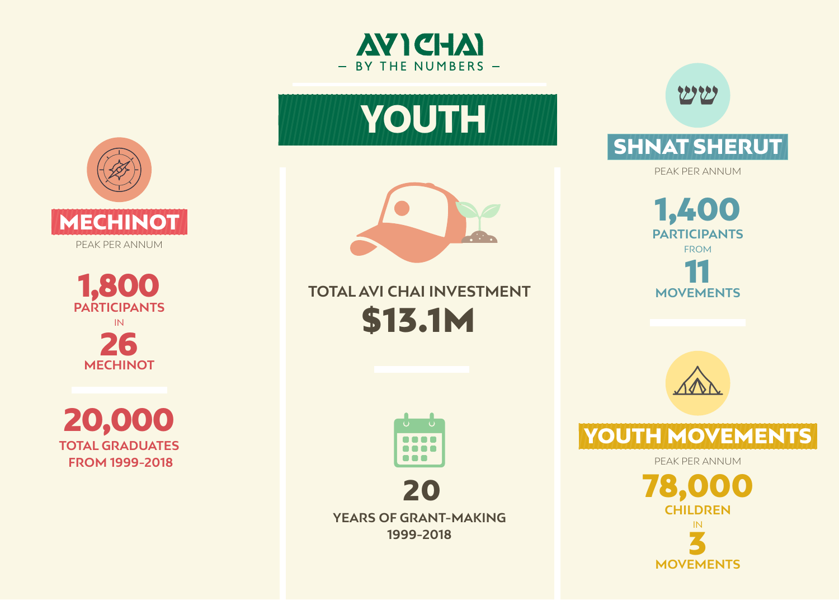



**Alexander** 



20,000 **TOTAL GRADUATES 1999-2018 FROM** 



**YEARS OF GRANT-MAKING 1999-2018**



## SHNAT SHERUT

PEAK PER ANNUM









## YOUTH MOVEMENTS

PEAK PER ANNUM











PEAK PER ANNUM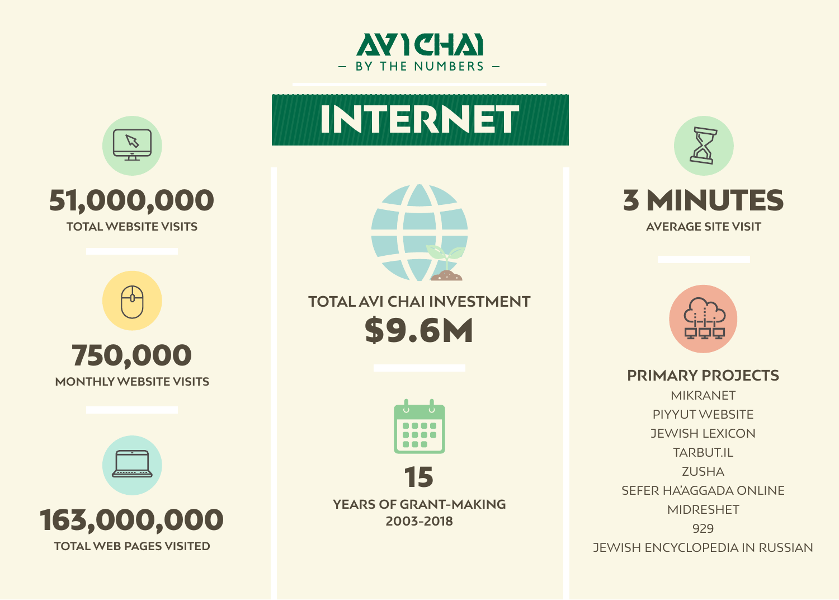





**VISITED PAGES VISITED** 



# **ITOTAL AVI CHAI INVESTMENT** \$9.6M













**PRIMARY PROJECTS** MIKRANET PIYYUT WEBSITE **JEWISH LEXICON** TARBUT.IL **ZUSHA** SEFER HA'AGGADA ONLINE MIDRESHET 929 **JEWISH ENCYCLOPEDIA IN RUSSIAN**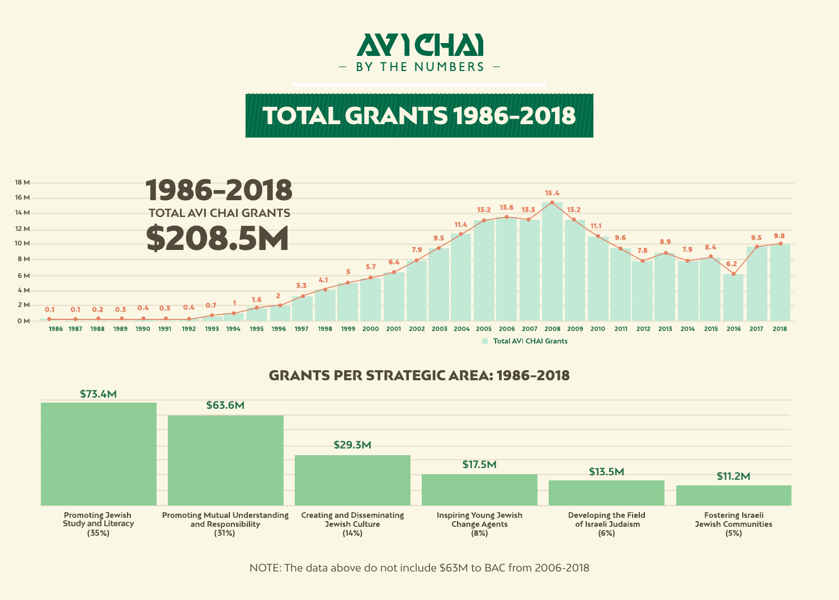

# TOTAL GRANTS 1986-2018

### **GRANTS PER STRATEGIC AREA: 1986-2018**







NOTE: The data above do not include \$63M to BAC from 2006-2018